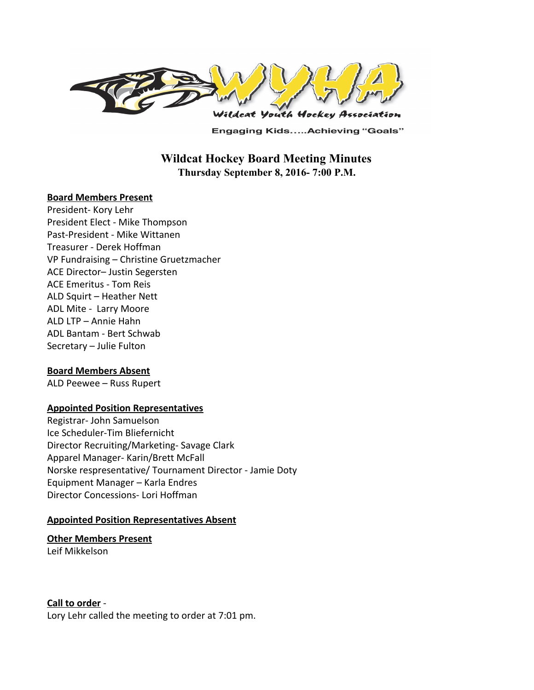

**Engaging Kids.....Achieving "Goals"** 

# **Wildcat Hockey Board Meeting Minutes Thursday September 8, 2016- 7:00 P.M.**

### **Board Members Present**

President- Kory Lehr President Elect - Mike Thompson Past-President - Mike Wittanen Treasurer - Derek Hoffman VP Fundraising – Christine Gruetzmacher ACE Director– Justin Segersten ACE Emeritus - Tom Reis ALD Squirt – Heather Nett ADL Mite - Larry Moore ALD LTP – Annie Hahn ADL Bantam - Bert Schwab Secretary – Julie Fulton

## **Board Members Absent**

ALD Peewee – Russ Rupert

## **Appointed Position Representatives**

Registrar- John Samuelson Ice Scheduler-Tim Bliefernicht Director Recruiting/Marketing- Savage Clark Apparel Manager- Karin/Brett McFall Norske respresentative/ Tournament Director - Jamie Doty Equipment Manager – Karla Endres Director Concessions- Lori Hoffman

#### **Appointed Position Representatives Absent**

**Other Members Present**

Leif Mikkelson

#### **Call to order** -

Lory Lehr called the meeting to order at 7:01 pm.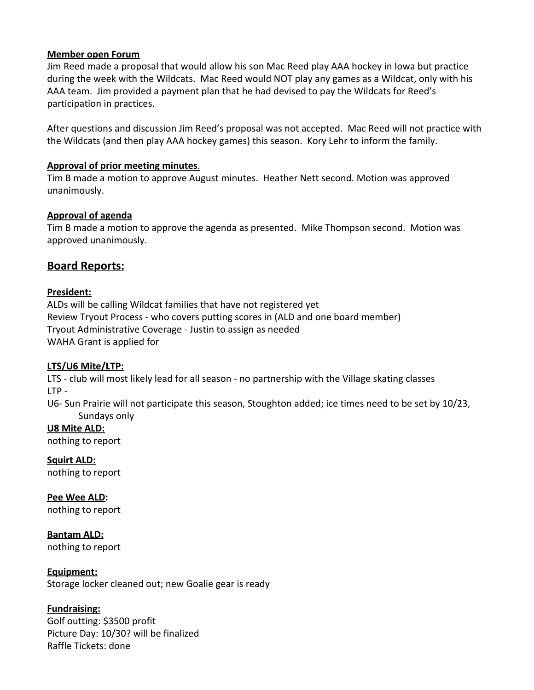## **Member open Forum**

Jim Reed made a proposal that would allow his son Mac Reed play AAA hockey in Iowa but practice during the week with the Wildcats. Mac Reed would NOT play any games as a Wildcat, only with his AAA team. Jim provided a payment plan that he had devised to pay the Wildcats for Reed's participation in practices.

After questions and discussion Jim Reed's proposal was not accepted. Mac Reed will not practice with the Wildcats (and then play AAA hockey games) this season. Kory Lehr to inform the family.

### **Approval of prior meeting minutes**.

Tim B made a motion to approve August minutes. Heather Nett second. Motion was approved unanimously.

### **Approval of agenda**

Tim B made a motion to approve the agenda as presented. Mike Thompson second. Motion was approved unanimously.

# **Board Reports:**

## **President:**

ALDs will be calling Wildcat families that have not registered yet Review Tryout Process - who covers putting scores in (ALD and one board member) Tryout Administrative Coverage - Justin to assign as needed WAHA Grant is applied for

## **LTS/U6 Mite/LTP:**

LTS - club will most likely lead for all season - no partnership with the Village skating classes LTP -

U6- Sun Prairie will not participate this season, Stoughton added; ice times need to be set by 10/23, Sundays only

**U8 Mite ALD:** nothing to report

**Squirt ALD:** nothing to report

**Pee Wee ALD:** nothing to report

**Bantam ALD:** nothing to report

**Equipment:** Storage locker cleaned out; new Goalie gear is ready

# **Fundraising:**

Golf outting: \$3500 profit Picture Day: 10/30? will be finalized Raffle Tickets: done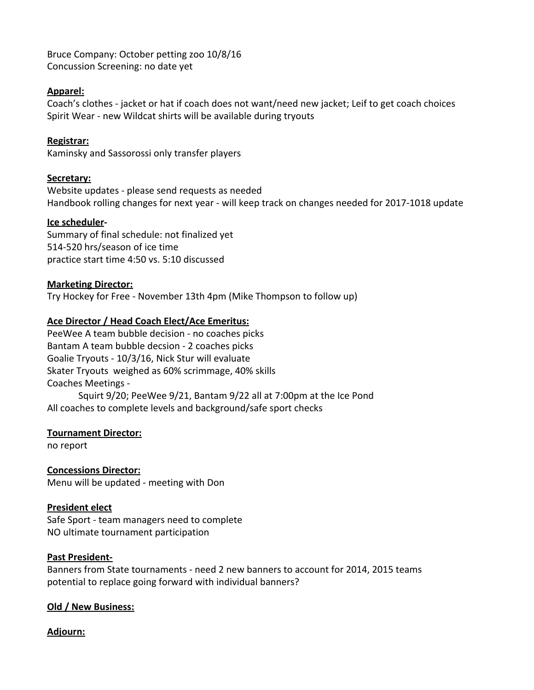Bruce Company: October petting zoo 10/8/16 Concussion Screening: no date yet

## **Apparel:**

Coach's clothes - jacket or hat if coach does not want/need new jacket; Leif to get coach choices Spirit Wear - new Wildcat shirts will be available during tryouts

## **Registrar:**

Kaminsky and Sassorossi only transfer players

## **Secretary:**

Website updates - please send requests as needed Handbook rolling changes for next year - will keep track on changes needed for 2017-1018 update

## **Ice scheduler-**

Summary of final schedule: not finalized yet 514-520 hrs/season of ice time practice start time 4:50 vs. 5:10 discussed

## **Marketing Director:**

Try Hockey for Free - November 13th 4pm (Mike Thompson to follow up)

## **Ace Director / Head Coach Elect/Ace Emeritus:**

PeeWee A team bubble decision - no coaches picks Bantam A team bubble decsion - 2 coaches picks Goalie Tryouts - 10/3/16, Nick Stur will evaluate Skater Tryouts weighed as 60% scrimmage, 40% skills Coaches Meetings - Squirt 9/20; PeeWee 9/21, Bantam 9/22 all at 7:00pm at the Ice Pond All coaches to complete levels and background/safe sport checks

## **Tournament Director:**

no report

**Concessions Director:** Menu will be updated - meeting with Don

## **President elect**

Safe Sport - team managers need to complete NO ultimate tournament participation

## **Past President-**

Banners from State tournaments - need 2 new banners to account for 2014, 2015 teams potential to replace going forward with individual banners?

## **Old / New Business:**

**Adjourn:**